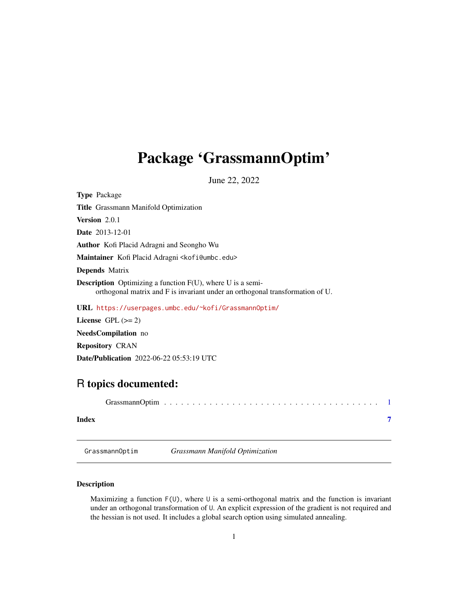## <span id="page-0-1"></span><span id="page-0-0"></span>Package 'GrassmannOptim'

June 22, 2022

| <b>Type Package</b>                                                                                                                                |
|----------------------------------------------------------------------------------------------------------------------------------------------------|
| <b>Title</b> Grassmann Manifold Optimization                                                                                                       |
| <b>Version</b> $2.0.1$                                                                                                                             |
| <b>Date</b> 2013-12-01                                                                                                                             |
| <b>Author</b> Kofi Placid Adragni and Seongho Wu                                                                                                   |
| Maintainer Kofi Placid Adragni < kofi@umbc.edu>                                                                                                    |
| <b>Depends</b> Matrix                                                                                                                              |
| <b>Description</b> Optimizing a function F(U), where U is a semi-<br>orthogonal matrix and F is invariant under an orthogonal transformation of U. |
| URL https://userpages.umbc.edu/~kofi/Grassmann0ptim/                                                                                               |
| License $GPL (= 2)$                                                                                                                                |
| <b>NeedsCompilation</b> no                                                                                                                         |
| <b>Repository CRAN</b>                                                                                                                             |

Date/Publication 2022-06-22 05:53:19 UTC

### R topics documented:

| Index |  |
|-------|--|
|       |  |

GrassmannOptim *Grassmann Manifold Optimization*

#### Description

Maximizing a function F(U), where U is a semi-orthogonal matrix and the function is invariant under an orthogonal transformation of U. An explicit expression of the gradient is not required and the hessian is not used. It includes a global search option using simulated annealing.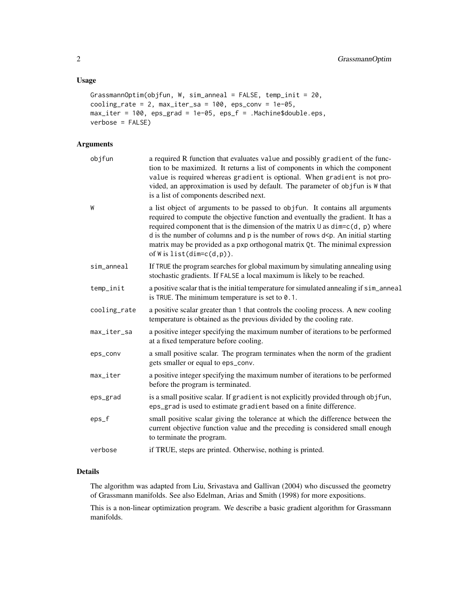#### Usage

```
GrassmannOptim(objfun, W, sim_anneal = FALSE, temp_init = 20,
cooling_rate = 2, max\_iter\_sa = 100, eps\_conv = 1e-05,
max_iter = 100, eps_grad = 1e-05, eps_f = .Machine$double.eps,
verbose = FALSE)
```
#### Arguments

| objfun       | a required R function that evaluates value and possibly gradient of the func-<br>tion to be maximized. It returns a list of components in which the component<br>value is required whereas gradient is optional. When gradient is not pro-<br>vided, an approximation is used by default. The parameter of objfun is W that<br>is a list of components described next.                                                                                             |
|--------------|--------------------------------------------------------------------------------------------------------------------------------------------------------------------------------------------------------------------------------------------------------------------------------------------------------------------------------------------------------------------------------------------------------------------------------------------------------------------|
| W            | a list object of arguments to be passed to objfun. It contains all arguments<br>required to compute the objective function and eventually the gradient. It has a<br>required component that is the dimension of the matrix $\cup$ as dim=c(d, p) where<br>d is the number of columns and $p$ is the number of rows $d \le p$ . An initial starting<br>matrix may be provided as a pxp orthogonal matrix Qt. The minimal expression<br>of W is $list(dim=c(d,p))$ . |
| sim_anneal   | If TRUE the program searches for global maximum by simulating annealing using<br>stochastic gradients. If FALSE a local maximum is likely to be reached.                                                                                                                                                                                                                                                                                                           |
| temp_init    | a positive scalar that is the initial temperature for simulated annealing if sim_anneal<br>is TRUE. The minimum temperature is set to $0.1$ .                                                                                                                                                                                                                                                                                                                      |
| cooling_rate | a positive scalar greater than 1 that controls the cooling process. A new cooling<br>temperature is obtained as the previous divided by the cooling rate.                                                                                                                                                                                                                                                                                                          |
| max_iter_sa  | a positive integer specifying the maximum number of iterations to be performed<br>at a fixed temperature before cooling.                                                                                                                                                                                                                                                                                                                                           |
| eps_conv     | a small positive scalar. The program terminates when the norm of the gradient<br>gets smaller or equal to eps_conv.                                                                                                                                                                                                                                                                                                                                                |
| max_iter     | a positive integer specifying the maximum number of iterations to be performed<br>before the program is terminated.                                                                                                                                                                                                                                                                                                                                                |
| eps_grad     | is a small positive scalar. If gradient is not explicitly provided through objfun,<br>eps_grad is used to estimate gradient based on a finite difference.                                                                                                                                                                                                                                                                                                          |
| eps_f        | small positive scalar giving the tolerance at which the difference between the<br>current objective function value and the preceding is considered small enough<br>to terminate the program.                                                                                                                                                                                                                                                                       |
| verbose      | if TRUE, steps are printed. Otherwise, nothing is printed.                                                                                                                                                                                                                                                                                                                                                                                                         |

#### Details

The algorithm was adapted from Liu, Srivastava and Gallivan (2004) who discussed the geometry of Grassmann manifolds. See also Edelman, Arias and Smith (1998) for more expositions.

This is a non-linear optimization program. We describe a basic gradient algorithm for Grassmann manifolds.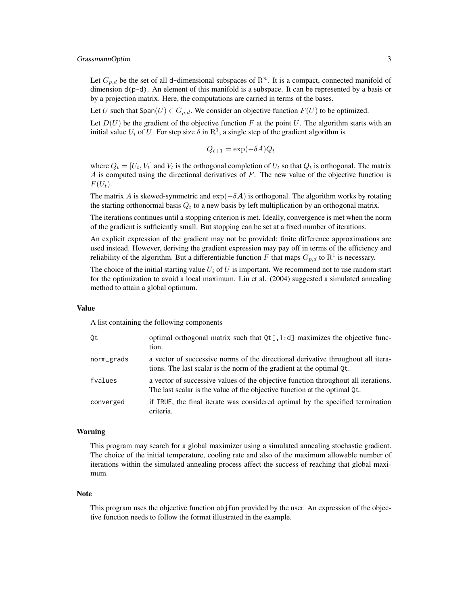#### GrassmannOptim 3

Let  $G_{p,d}$  be the set of all d-dimensional subspaces of  $\mathbb{R}^n$ . It is a compact, connected manifold of dimension d(p-d). An element of this manifold is a subspace. It can be represented by a basis or by a projection matrix. Here, the computations are carried in terms of the bases.

Let U such that Span(U)  $\in G_{p,d}$ . We consider an objective function  $F(U)$  to be optimized.

Let  $D(U)$  be the gradient of the objective function F at the point U. The algorithm starts with an initial value  $U_i$  of U. For step size  $\delta$  in  $\mathbb{R}^1$ , a single step of the gradient algorithm is

$$
Q_{t+1} = \exp(-\delta A)Q_t
$$

where  $Q_t = [U_t, V_t]$  and  $V_t$  is the orthogonal completion of  $U_t$  so that  $Q_t$  is orthogonal. The matrix  $\overline{A}$  is computed using the directional derivatives of  $\overline{F}$ . The new value of the objective function is  $F(U_t)$ .

The matrix A is skewed-symmetric and  $\exp(-\delta \mathbf{A})$  is orthogonal. The algorithm works by rotating the starting orthonormal basis  $Q_t$  to a new basis by left multiplication by an orthogonal matrix.

The iterations continues until a stopping criterion is met. Ideally, convergence is met when the norm of the gradient is sufficiently small. But stopping can be set at a fixed number of iterations.

An explicit expression of the gradient may not be provided; finite difference approximations are used instead. However, deriving the gradient expression may pay off in terms of the efficiency and reliability of the algorithm. But a differentiable function F that maps  $G_{p,d}$  to  $\mathbb{R}^1$  is necessary.

The choice of the initial starting value  $U_i$  of U is important. We recommend not to use random start for the optimization to avoid a local maximum. Liu et al. (2004) suggested a simulated annealing method to attain a global optimum.

#### Value

A list containing the following components

| Qt         | optimal orthogonal matrix such that $Qt[$ , 1:d] maximizes the objective func-<br>tion.                                                                         |
|------------|-----------------------------------------------------------------------------------------------------------------------------------------------------------------|
| norm_grads | a vector of successive norms of the directional derivative throughout all itera-<br>tions. The last scalar is the norm of the gradient at the optimal Qt.       |
| fvalues    | a vector of successive values of the objective function throughout all iterations.<br>The last scalar is the value of the objective function at the optimal Qt. |
| converged  | if TRUE, the final iterate was considered optimal by the specified termination<br>criteria.                                                                     |

#### Warning

This program may search for a global maximizer using a simulated annealing stochastic gradient. The choice of the initial temperature, cooling rate and also of the maximum allowable number of iterations within the simulated annealing process affect the success of reaching that global maximum.

#### Note

This program uses the objective function objfun provided by the user. An expression of the objective function needs to follow the format illustrated in the example.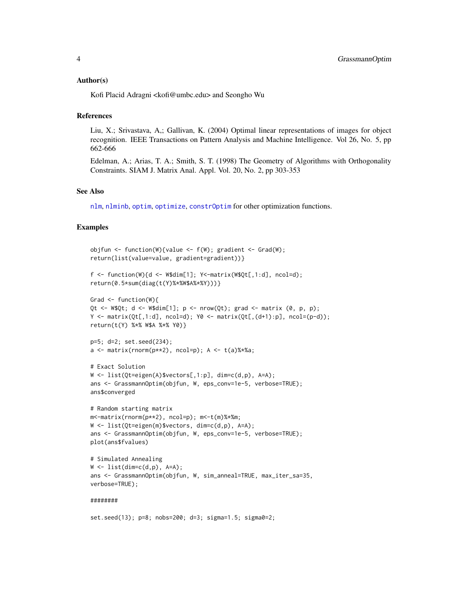#### <span id="page-3-0"></span>Author(s)

Kofi Placid Adragni <kofi@umbc.edu> and Seongho Wu

#### References

Liu, X.; Srivastava, A,; Gallivan, K. (2004) Optimal linear representations of images for object recognition. IEEE Transactions on Pattern Analysis and Machine Intelligence. Vol 26, No. 5, pp 662-666

Edelman, A.; Arias, T. A.; Smith, S. T. (1998) The Geometry of Algorithms with Orthogonality Constraints. SIAM J. Matrix Anal. Appl. Vol. 20, No. 2, pp 303-353

#### See Also

[nlm](#page-0-1), [nlminb](#page-0-1), [optim](#page-0-1), [optimize](#page-0-1), [constrOptim](#page-0-1) for other optimization functions.

#### Examples

```
objfun <- function(W){value <- f(W); gradient <- Grad(W);
return(list(value=value, gradient=gradient))}
f <- function(W){d <- W$dim[1]; Y<-matrix(W$Qt[,1:d], ncol=d);
return(0.5*sum(diag(t(Y)%*%W$A%*%Y)))}
Grad \leq function(W){
Qt \lt- W$Qt; d \lt- W$dim[1]; p \lt- nrow(Qt); grad \lt- matrix (0, p, p);
Y \le - matrix(0t[, 1:d], ncol=d); Y0 \le - matrix(0t[,(d+1):p], ncol=(p-d));
return(t(Y) %*% W$A %*% Y0)}
p=5; d=2; set.seed(234);
a \leftarrow \text{matrix}(rnorm(p**2), ncol=p); A \leftarrow t(a) %*%a;
# Exact Solution
W \leftarrow \text{list}(\text{Qt}=eigen(A)\text{$vectors[,1:p], dim=c(d,p), A=A);ans <- GrassmannOptim(objfun, W, eps_conv=1e-5, verbose=TRUE);
ans$converged
# Random starting matrix
m<-matrix(rnorm(p**2), ncol=p); m<-t(m)%*%m;
W \leftarrow \text{list}(\text{Qt}=eigen(m)$vectors, dim=c(d,p), A=A);
ans <- GrassmannOptim(objfun, W, eps_conv=1e-5, verbose=TRUE);
plot(ans$fvalues)
# Simulated Annealing
W \leftarrow \text{list}(\text{dim=c}(d,p), A=A);ans <- GrassmannOptim(objfun, W, sim_anneal=TRUE, max_iter_sa=35,
```

```
verbose=TRUE);
```
#### ########

set.seed(13); p=8; nobs=200; d=3; sigma=1.5; sigma0=2;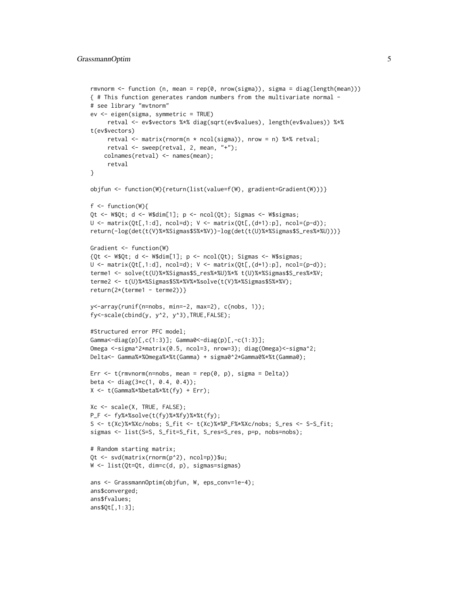```
rmvnorm <- function (n, mean = rep(0, nrow(sigma)), sigma = diag(length(mean)))
{ # This function generates random numbers from the multivariate normal -
# see library "mvtnorm"
ev <- eigen(sigma, symmetric = TRUE)
     retval <- ev$vectors %*% diag(sqrt(ev$values), length(ev$values)) %*%
t(ev$vectors)
     retval <- matrix(rnorm(n * ncol(sigma)), nrow = n) %*% retval;
     retval \leq sweep(retval, 2, mean, "+");
    colnames(retval) <- names(mean);
     retval
}
objfun <- function(W){return(list(value=f(W), gradient=Gradient(W)))}
f \leftarrow function(W)Qt <- W$Qt; d <- W$dim[1]; p <- ncol(Qt); Sigmas <- W$sigmas;
U \leq - matrix(Qt[,1:d], ncol=d); V \leq - matrix(Qt[,(d+1):p], ncol=(p-d));
return(-log(det(t(V)%*%Sigmas$S%*%V))-log(det(t(U)%*%Sigmas$S_res%*%U)))}
Gradient <- function(W)
{Qt \leftarrow W$Qt; d \leftarrow W$dim[1]; p \leftarrow ncol(Qt); Sigmas \leftarrow W$signas;U \leftarrow \text{matrix}(\text{Qt}[, 1:d], \text{ncol=d)}; V \leftarrow \text{matrix}(\text{Qt}[,(d+1):p], \text{ncol}=(p-d));terme1 <- solve(t(U)%*%Sigmas$S_res%*%U)%*% t(U)%*%Sigmas$S_res%*%V;
terme2 <- t(U)%*%Sigmas$S%*%V%*%solve(t(V)%*%Sigmas$S%*%V);
return(2*(terme1 - terme2))}
y<-array(runif(n=nobs, min=-2, max=2), c(nobs, 1));
fy<-scale(cbind(y, y^2, y^3),TRUE,FALSE);
#Structured error PFC model;
Gamma\leftarrowdiag(p)[,c(1:3)]; Gamma0\leftarrowdiag(p)[,-c(1:3)];
Omega <-sigma^2*matrix(0.5, ncol=3, nrow=3); diag(Omega)<-sigma^2;
Delta<- Gamma%*%Omega%*%t(Gamma) + sigma0^2*Gamma0%*%t(Gamma0);
Err \leq t(rmvnorm(n=nobs, mean = rep(0, p), sigma = Delta))
beta <- diag(3 \times c(1, 0.4, 0.4));
X <- t(Gamma%*%beta%*%t(fy) + Err);
Xc <- scale(X, TRUE, FALSE);
P_F <- fy%*%solve(t(fy)%*%fy)%*%t(fy);
S <- t(Xc)%*%Xc/nobs; S_fit <- t(Xc)%*%P_F%*%Xc/nobs; S_res <- S-S_fit;
sigmas <- list(S=S, S_fit=S_fit, S_res=S_res, p=p, nobs=nobs);
# Random starting matrix;
Qt <- svd(matrix(rnorm(p^2), ncol=p))$u;
W <- list(Qt=Qt, dim=c(d, p), sigmas=sigmas)
ans <- GrassmannOptim(objfun, W, eps_conv=1e-4);
ans$converged;
ans$fvalues;
ans$Qt[,1:3];
```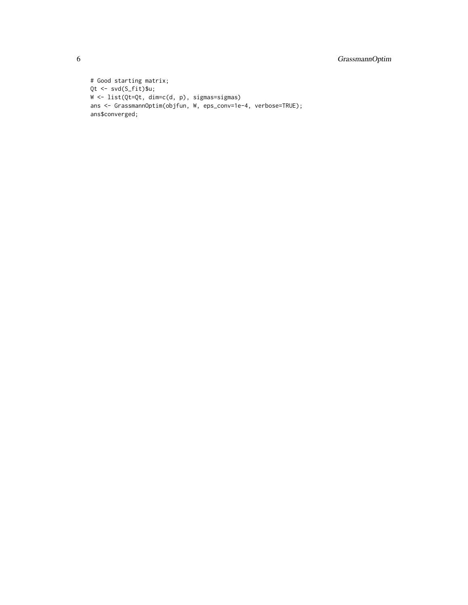```
# Good starting matrix;
Qt <- svd(S_fit)$u;
W <- list(Qt=Qt, dim=c(d, p), sigmas=sigmas)
ans <- GrassmannOptim(objfun, W, eps_conv=1e-4, verbose=TRUE);
ans$converged;
```